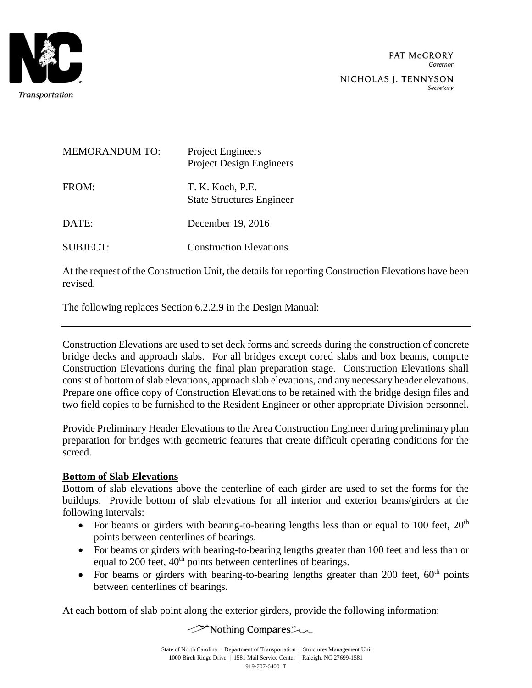

| <b>MEMORANDUM TO:</b> | <b>Project Engineers</b><br><b>Project Design Engineers</b> |
|-----------------------|-------------------------------------------------------------|
| FROM:                 | T. K. Koch, P.E.<br><b>State Structures Engineer</b>        |
| DATE:                 | December 19, 2016                                           |
| <b>SUBJECT:</b>       | <b>Construction Elevations</b>                              |

At the request of the Construction Unit, the details for reporting Construction Elevations have been revised.

The following replaces Section 6.2.2.9 in the Design Manual:

Construction Elevations are used to set deck forms and screeds during the construction of concrete bridge decks and approach slabs. For all bridges except cored slabs and box beams, compute Construction Elevations during the final plan preparation stage. Construction Elevations shall consist of bottom of slab elevations, approach slab elevations, and any necessary header elevations. Prepare one office copy of Construction Elevations to be retained with the bridge design files and two field copies to be furnished to the Resident Engineer or other appropriate Division personnel.

Provide Preliminary Header Elevations to the Area Construction Engineer during preliminary plan preparation for bridges with geometric features that create difficult operating conditions for the screed.

#### **Bottom of Slab Elevations**

Bottom of slab elevations above the centerline of each girder are used to set the forms for the buildups. Provide bottom of slab elevations for all interior and exterior beams/girders at the following intervals:

- For beams or girders with bearing-to-bearing lengths less than or equal to 100 feet,  $20<sup>th</sup>$ points between centerlines of bearings.
- For beams or girders with bearing-to-bearing lengths greater than 100 feet and less than or equal to 200 feet, 40<sup>th</sup> points between centerlines of bearings.
- For beams or girders with bearing-to-bearing lengths greater than 200 feet,  $60<sup>th</sup>$  points between centerlines of bearings.

At each bottom of slab point along the exterior girders, provide the following information:

**Nothing Compares** ~~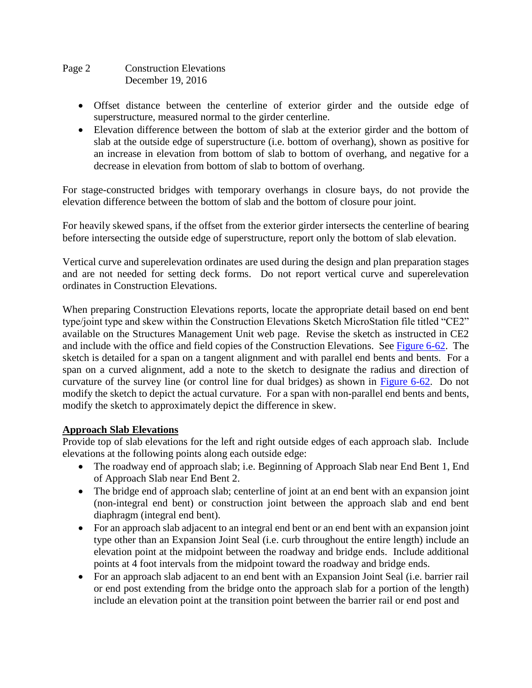### Page 2 Construction Elevations December 19, 2016

- Offset distance between the centerline of exterior girder and the outside edge of superstructure, measured normal to the girder centerline.
- Elevation difference between the bottom of slab at the exterior girder and the bottom of slab at the outside edge of superstructure (i.e. bottom of overhang), shown as positive for an increase in elevation from bottom of slab to bottom of overhang, and negative for a decrease in elevation from bottom of slab to bottom of overhang.

For stage-constructed bridges with temporary overhangs in closure bays, do not provide the elevation difference between the bottom of slab and the bottom of closure pour joint.

For heavily skewed spans, if the offset from the exterior girder intersects the centerline of bearing before intersecting the outside edge of superstructure, report only the bottom of slab elevation.

Vertical curve and superelevation ordinates are used during the design and plan preparation stages and are not needed for setting deck forms. Do not report vertical curve and superelevation ordinates in Construction Elevations.

When preparing Construction Elevations reports, locate the appropriate detail based on end bent type/joint type and skew within the Construction Elevations Sketch MicroStation file titled "CE2" available on the Structures Management Unit web page. Revise the sketch as instructed in CE2 and include with the office and field copies of the Construction Elevations. See Figure 6-62. The sketch is detailed for a span on a tangent alignment and with parallel end bents and bents. For a span on a curved alignment, add a note to the sketch to designate the radius and direction of curvature of the survey line (or control line for dual bridges) as shown in Figure 6-62. Do not modify the sketch to depict the actual curvature. For a span with non-parallel end bents and bents, modify the sketch to approximately depict the difference in skew.

### **Approach Slab Elevations**

Provide top of slab elevations for the left and right outside edges of each approach slab. Include elevations at the following points along each outside edge:

- The roadway end of approach slab; i.e. Beginning of Approach Slab near End Bent 1, End of Approach Slab near End Bent 2.
- The bridge end of approach slab; centerline of joint at an end bent with an expansion joint (non-integral end bent) or construction joint between the approach slab and end bent diaphragm (integral end bent).
- For an approach slab adjacent to an integral end bent or an end bent with an expansion joint type other than an Expansion Joint Seal (i.e. curb throughout the entire length) include an elevation point at the midpoint between the roadway and bridge ends. Include additional points at 4 foot intervals from the midpoint toward the roadway and bridge ends.
- For an approach slab adjacent to an end bent with an Expansion Joint Seal (i.e. barrier rail or end post extending from the bridge onto the approach slab for a portion of the length) include an elevation point at the transition point between the barrier rail or end post and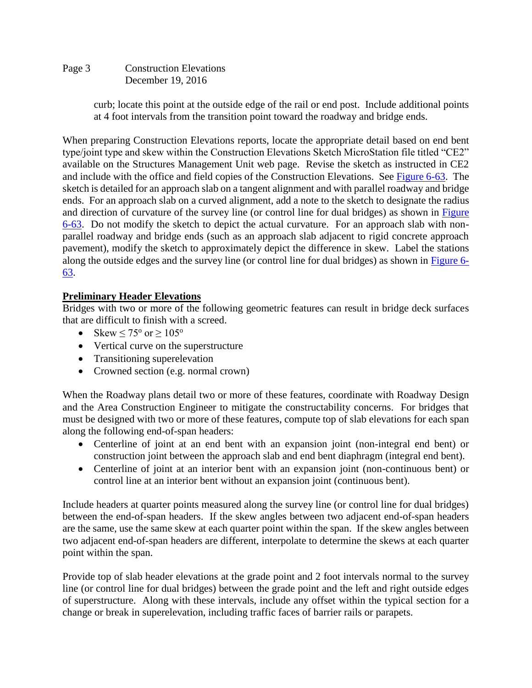## Page 3 Construction Elevations December 19, 2016

curb; locate this point at the outside edge of the rail or end post. Include additional points at 4 foot intervals from the transition point toward the roadway and bridge ends.

When preparing Construction Elevations reports, locate the appropriate detail based on end bent type/joint type and skew within the Construction Elevations Sketch MicroStation file titled "CE2" available on the Structures Management Unit web page. Revise the sketch as instructed in CE2 and include with the office and field copies of the Construction Elevations. See Figure 6-63. The sketch is detailed for an approach slab on a tangent alignment and with parallel roadway and bridge ends. For an approach slab on a curved alignment, add a note to the sketch to designate the radius and direction of curvature of the survey line (or control line for dual bridges) as shown in Figure 6-63. Do not modify the sketch to depict the actual curvature. For an approach slab with nonparallel roadway and bridge ends (such as an approach slab adjacent to rigid concrete approach pavement), modify the sketch to approximately depict the difference in skew. Label the stations along the outside edges and the survey line (or control line for dual bridges) as shown in Figure 6- 63.

## **Preliminary Header Elevations**

Bridges with two or more of the following geometric features can result in bridge deck surfaces that are difficult to finish with a screed.

- Skew  $\leq 75^{\circ}$  or  $\geq 105^{\circ}$
- Vertical curve on the superstructure
- Transitioning superelevation
- Crowned section (e.g. normal crown)

When the Roadway plans detail two or more of these features, coordinate with Roadway Design and the Area Construction Engineer to mitigate the constructability concerns. For bridges that must be designed with two or more of these features, compute top of slab elevations for each span along the following end-of-span headers:

- Centerline of joint at an end bent with an expansion joint (non-integral end bent) or construction joint between the approach slab and end bent diaphragm (integral end bent).
- Centerline of joint at an interior bent with an expansion joint (non-continuous bent) or control line at an interior bent without an expansion joint (continuous bent).

Include headers at quarter points measured along the survey line (or control line for dual bridges) between the end-of-span headers. If the skew angles between two adjacent end-of-span headers are the same, use the same skew at each quarter point within the span. If the skew angles between two adjacent end-of-span headers are different, interpolate to determine the skews at each quarter point within the span.

Provide top of slab header elevations at the grade point and 2 foot intervals normal to the survey line (or control line for dual bridges) between the grade point and the left and right outside edges of superstructure. Along with these intervals, include any offset within the typical section for a change or break in superelevation, including traffic faces of barrier rails or parapets.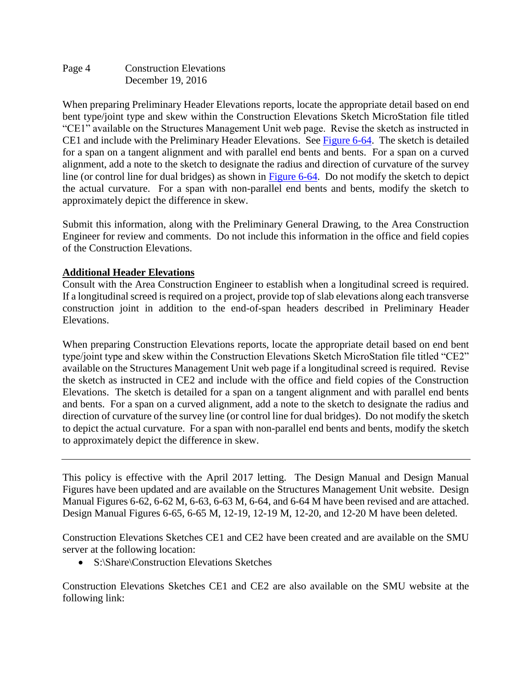Page 4 Construction Elevations December 19, 2016

When preparing Preliminary Header Elevations reports, locate the appropriate detail based on end bent type/joint type and skew within the Construction Elevations Sketch MicroStation file titled "CE1" available on the Structures Management Unit web page. Revise the sketch as instructed in CE1 and include with the Preliminary Header Elevations. See Figure 6-64. The sketch is detailed for a span on a tangent alignment and with parallel end bents and bents. For a span on a curved alignment, add a note to the sketch to designate the radius and direction of curvature of the survey line (or control line for dual bridges) as shown in Figure 6-64. Do not modify the sketch to depict the actual curvature. For a span with non-parallel end bents and bents, modify the sketch to approximately depict the difference in skew.

Submit this information, along with the Preliminary General Drawing, to the Area Construction Engineer for review and comments. Do not include this information in the office and field copies of the Construction Elevations.

#### **Additional Header Elevations**

Consult with the Area Construction Engineer to establish when a longitudinal screed is required. If a longitudinal screed is required on a project, provide top of slab elevations along each transverse construction joint in addition to the end-of-span headers described in Preliminary Header Elevations.

When preparing Construction Elevations reports, locate the appropriate detail based on end bent type/joint type and skew within the Construction Elevations Sketch MicroStation file titled "CE2" available on the Structures Management Unit web page if a longitudinal screed is required. Revise the sketch as instructed in CE2 and include with the office and field copies of the Construction Elevations. The sketch is detailed for a span on a tangent alignment and with parallel end bents and bents. For a span on a curved alignment, add a note to the sketch to designate the radius and direction of curvature of the survey line (or control line for dual bridges). Do not modify the sketch to depict the actual curvature. For a span with non-parallel end bents and bents, modify the sketch to approximately depict the difference in skew.

This policy is effective with the April 2017 letting. The Design Manual and Design Manual Figures have been updated and are available on the Structures Management Unit website. Design Manual Figures 6-62, 6-62 M, 6-63, 6-63 M, 6-64, and 6-64 M have been revised and are attached. Design Manual Figures 6-65, 6-65 M, 12-19, 12-19 M, 12-20, and 12-20 M have been deleted.

Construction Elevations Sketches CE1 and CE2 have been created and are available on the SMU server at the following location:

• S:\Share\Construction Elevations Sketches

Construction Elevations Sketches CE1 and CE2 are also available on the SMU website at the following link: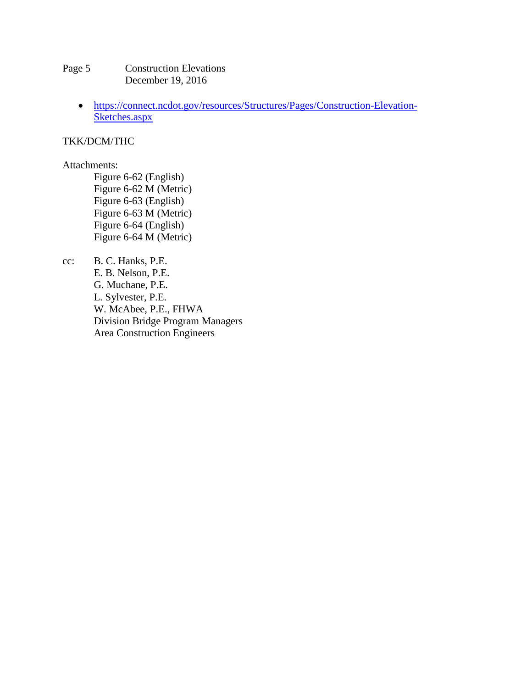- Page 5 Construction Elevations December 19, 2016
	- [https://connect.ncdot.gov/resources/Structures/Pages/Construction-Elevation-](https://connect.ncdot.gov/resources/Structures/Pages/Construction-Elevation-Sketches.aspx)[Sketches.aspx](https://connect.ncdot.gov/resources/Structures/Pages/Construction-Elevation-Sketches.aspx)

#### TKK/DCM/THC

#### Attachments:

Figure 6-62 (English) Figure 6-62 M (Metric) Figure 6-63 (English) Figure 6-63 M (Metric) Figure 6-64 (English) Figure 6-64 M (Metric)

cc: B. C. Hanks, P.E. E. B. Nelson, P.E. G. Muchane, P.E. L. Sylvester, P.E. W. McAbee, P.E., FHWA Division Bridge Program Managers Area Construction Engineers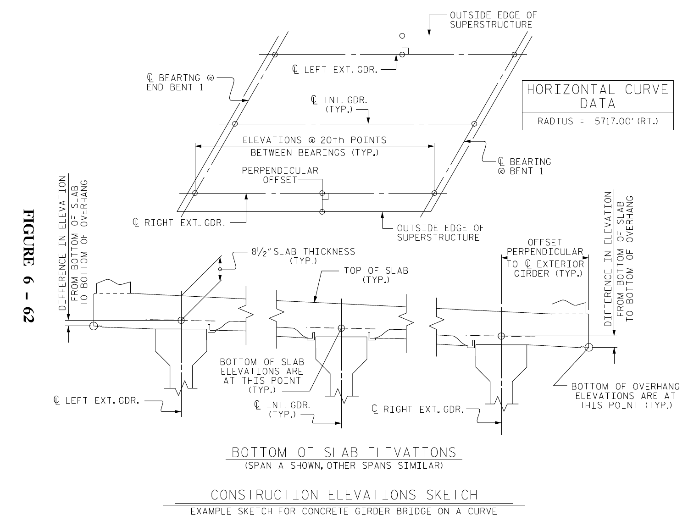

FIG

 $\subset$ RE

 $\bullet$ - 62

 $\mathbf{I}$ 

EXAMPLE SKETCH FOR CONCRETE GIRDER BRIDGE ON A CURVE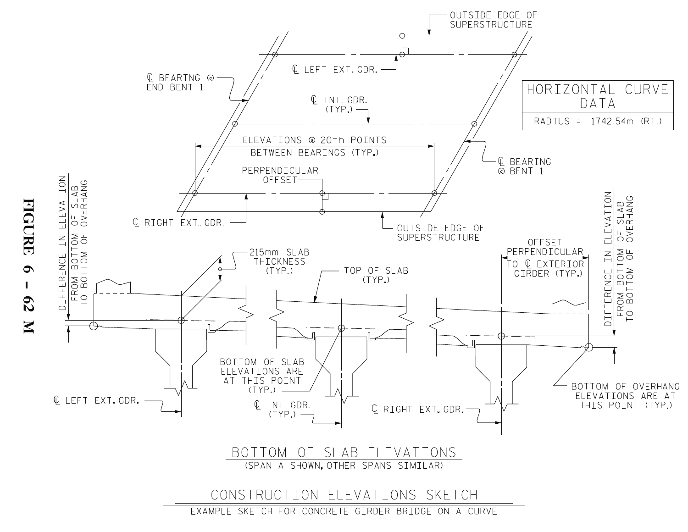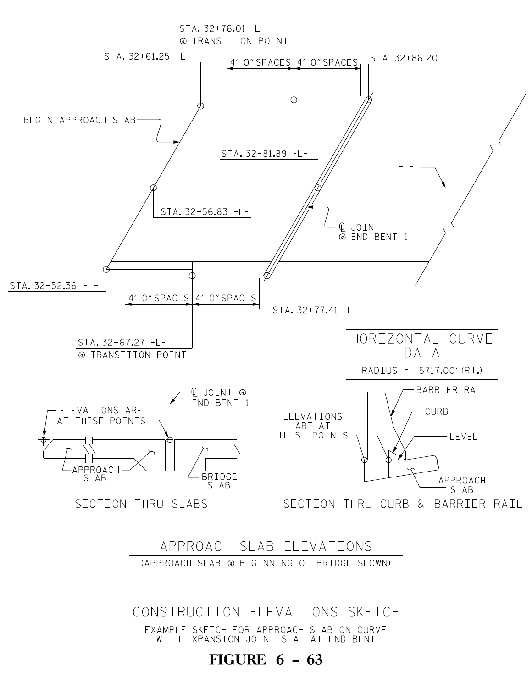## FIGURE  $6 - 63$

WITH EXPANSION JOINT SEAL AT END BENT EXAMPLE SKETCH FOR APPROACH SLAB ON CURVE

CONSTRUCTION ELEVATIONS SKETCH

(APPROACH SLAB @ BEGINNING OF BRIDGE SHOWN) APPROACH SLAB ELEVATIONS

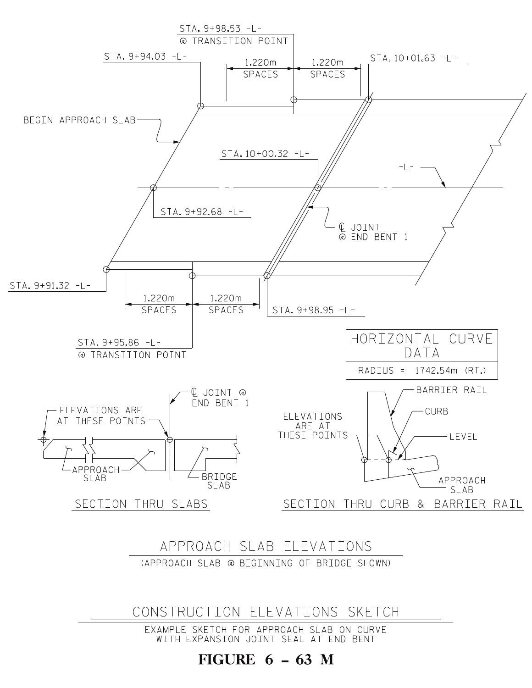FIGURE  $6 - 63$  M

EXAMPLE SKETCH FOR APPROACH SLAB ON CURVE WITH EXPANSION JOINT SEAL AT END BENT

CONSTRUCTION ELEVATIONS SKETCH

Approach slab elevations (APPROACH SLAB @ BEGINNING OF BRIDGE SHOWN)



 $STA. 9+98.53 -L -$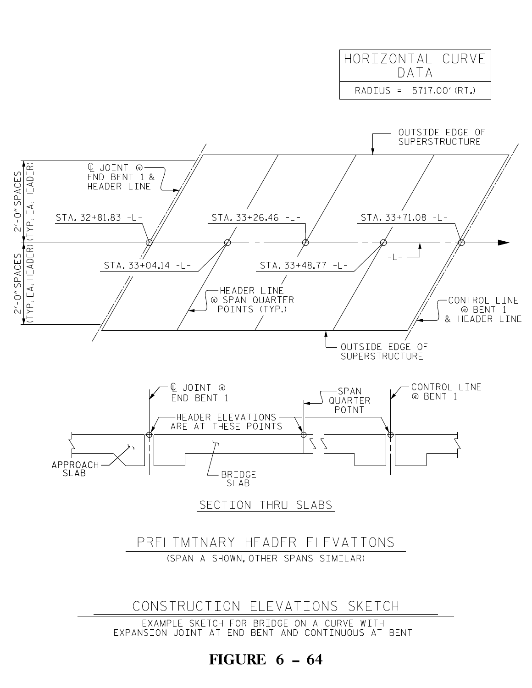# FIGURE  $6 - 64$

EXAMPLE SKETCH FOR BRIDGE ON A CURVE WITH

EXPANSION JOINT AT END BENT AND CONTINUOUS AT BENT



2'-

2'-

CES